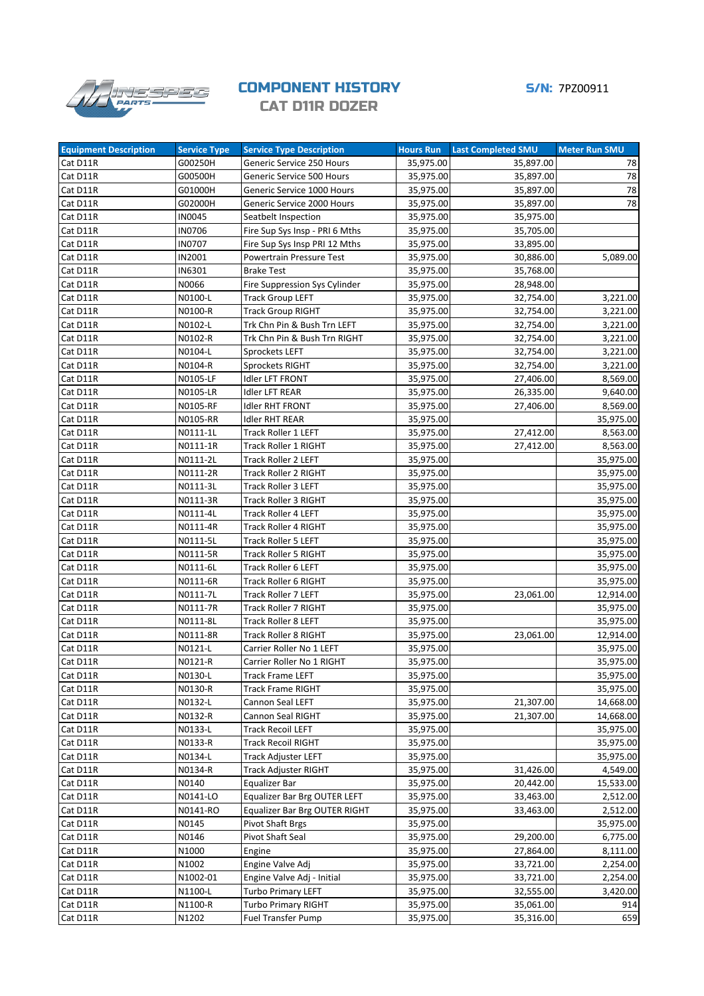

## **COMPONENT HISTORY 5/N: 7PZ00911** CAT D11R DOZER

| <b>Equipment Description</b> | <b>Service Type</b> | <b>Service Type Description</b> | <b>Hours Run</b> | <b>Last Completed SMU</b> | <b>Meter Run SMU</b> |
|------------------------------|---------------------|---------------------------------|------------------|---------------------------|----------------------|
| Cat D11R                     | G00250H             | Generic Service 250 Hours       | 35,975.00        | 35,897.00                 | 78                   |
| Cat D11R                     | G00500H             | Generic Service 500 Hours       | 35,975.00        | 35,897.00                 | 78                   |
| Cat D11R                     | G01000H             | Generic Service 1000 Hours      | 35,975.00        | 35,897.00                 | 78                   |
| Cat D11R                     | G02000H             | Generic Service 2000 Hours      | 35,975.00        | 35,897.00                 | 78                   |
| Cat D11R                     | <b>IN0045</b>       | Seatbelt Inspection             | 35,975.00        | 35,975.00                 |                      |
| Cat D11R                     | <b>IN0706</b>       | Fire Sup Sys Insp - PRI 6 Mths  | 35,975.00        | 35,705.00                 |                      |
| Cat D11R                     | <b>IN0707</b>       | Fire Sup Sys Insp PRI 12 Mths   | 35,975.00        | 33,895.00                 |                      |
| Cat D11R                     | IN2001              | Powertrain Pressure Test        | 35,975.00        | 30,886.00                 | 5,089.00             |
| Cat D11R                     | IN6301              | <b>Brake Test</b>               | 35,975.00        | 35,768.00                 |                      |
| Cat D11R                     | N0066               | Fire Suppression Sys Cylinder   | 35,975.00        | 28,948.00                 |                      |
| Cat D11R                     | N0100-L             | <b>Track Group LEFT</b>         | 35,975.00        | 32,754.00                 | 3,221.00             |
| Cat D11R                     | N0100-R             | Track Group RIGHT               | 35,975.00        | 32,754.00                 | 3,221.00             |
| Cat D11R                     | N0102-L             | Trk Chn Pin & Bush Trn LEFT     | 35,975.00        | 32,754.00                 | 3,221.00             |
| Cat D11R                     | N0102-R             | Trk Chn Pin & Bush Trn RIGHT    | 35,975.00        | 32,754.00                 | 3,221.00             |
| Cat D11R                     | N0104-L             | Sprockets LEFT                  | 35,975.00        | 32,754.00                 | 3,221.00             |
| Cat D11R                     | N0104-R             | Sprockets RIGHT                 | 35,975.00        | 32,754.00                 | 3,221.00             |
| Cat D11R                     | N0105-LF            | Idler LFT FRONT                 | 35,975.00        | 27,406.00                 | 8,569.00             |
| Cat D11R                     | N0105-LR            | Idler LFT REAR                  | 35,975.00        | 26,335.00                 | 9,640.00             |
| Cat D11R                     | N0105-RF            | <b>Idler RHT FRONT</b>          | 35,975.00        | 27,406.00                 | 8,569.00             |
| Cat D11R                     | N0105-RR            | <b>Idler RHT REAR</b>           | 35,975.00        |                           | 35,975.00            |
| Cat D11R                     | N0111-1L            | Track Roller 1 LEFT             | 35,975.00        | 27,412.00                 | 8,563.00             |
| Cat D11R                     | N0111-1R            | Track Roller 1 RIGHT            | 35,975.00        | 27,412.00                 | 8,563.00             |
| Cat D11R                     | N0111-2L            | <b>Track Roller 2 LEFT</b>      | 35,975.00        |                           | 35,975.00            |
|                              |                     | Track Roller 2 RIGHT            |                  |                           |                      |
| Cat D11R                     | N0111-2R            |                                 | 35,975.00        |                           | 35,975.00            |
| Cat D11R                     | N0111-3L            | Track Roller 3 LEFT             | 35,975.00        |                           | 35,975.00            |
| Cat D11R                     | N0111-3R            | Track Roller 3 RIGHT            | 35,975.00        |                           | 35,975.00            |
| Cat D11R                     | N0111-4L            | Track Roller 4 LEFT             | 35,975.00        |                           | 35,975.00            |
| Cat D11R                     | N0111-4R            | Track Roller 4 RIGHT            | 35,975.00        |                           | 35,975.00            |
| Cat D11R                     | N0111-5L            | Track Roller 5 LEFT             | 35,975.00        |                           | 35,975.00            |
| Cat D11R                     | N0111-5R            | Track Roller 5 RIGHT            | 35,975.00        |                           | 35,975.00            |
| Cat D11R                     | N0111-6L            | Track Roller 6 LEFT             | 35,975.00        |                           | 35,975.00            |
| Cat D11R                     | N0111-6R            | Track Roller 6 RIGHT            | 35,975.00        |                           | 35,975.00            |
| Cat D11R                     | N0111-7L            | Track Roller 7 LEFT             | 35,975.00        | 23,061.00                 | 12,914.00            |
| Cat D11R                     | N0111-7R            | Track Roller 7 RIGHT            | 35,975.00        |                           | 35,975.00            |
| Cat D11R                     | N0111-8L            | Track Roller 8 LEFT             | 35,975.00        |                           | 35,975.00            |
| Cat D11R                     | N0111-8R            | Track Roller 8 RIGHT            | 35,975.00        | 23,061.00                 | 12,914.00            |
| Cat D11R                     | N0121-L             | Carrier Roller No 1 LEFT        | 35,975.00        |                           | 35,975.00            |
| Cat D11R                     | N0121-R             | Carrier Roller No 1 RIGHT       | 35,975.00        |                           | 35,975.00            |
| Cat D11R                     | N0130-L             | Track Frame LEFT                | 35,975.00        |                           | 35,975.00            |
| Cat D11R                     | N0130-R             | Track Frame RIGHT               | 35,975.00        |                           | 35,975.00            |
| Cat D11R                     | N0132-L             | Cannon Seal LEFT                | 35,975.00        | 21,307.00                 | 14,668.00            |
| Cat D11R                     | N0132-R             | Cannon Seal RIGHT               | 35,975.00        | 21,307.00                 | 14,668.00            |
| Cat D11R                     | N0133-L             | Track Recoil LEFT               | 35,975.00        |                           | 35,975.00            |
| Cat D11R                     | N0133-R             | <b>Track Recoil RIGHT</b>       | 35,975.00        |                           | 35,975.00            |
| Cat D11R                     | N0134-L             | Track Adjuster LEFT             | 35,975.00        |                           | 35,975.00            |
| Cat D11R                     | N0134-R             | Track Adjuster RIGHT            | 35,975.00        | 31,426.00                 | 4,549.00             |
| Cat D11R                     | N0140               | Equalizer Bar                   | 35,975.00        | 20,442.00                 | 15,533.00            |
| Cat D11R                     | N0141-LO            | Equalizer Bar Brg OUTER LEFT    | 35,975.00        | 33,463.00                 | 2,512.00             |
| Cat D11R                     | N0141-RO            | Equalizer Bar Brg OUTER RIGHT   | 35,975.00        | 33,463.00                 | 2,512.00             |
| Cat D11R                     | N0145               | <b>Pivot Shaft Brgs</b>         | 35,975.00        |                           | 35,975.00            |
| Cat D11R                     | N0146               | Pivot Shaft Seal                | 35,975.00        | 29,200.00                 | 6,775.00             |
| Cat D11R                     | N1000               | Engine                          | 35,975.00        | 27,864.00                 | 8,111.00             |
| Cat D11R                     | N1002               | Engine Valve Adj                | 35,975.00        | 33,721.00                 | 2,254.00             |
| Cat D11R                     | N1002-01            | Engine Valve Adj - Initial      | 35,975.00        | 33,721.00                 | 2,254.00             |
| Cat D11R                     | N1100-L             | <b>Turbo Primary LEFT</b>       | 35,975.00        | 32,555.00                 | 3,420.00             |
| Cat D11R                     | N1100-R             | Turbo Primary RIGHT             | 35,975.00        | 35,061.00                 | 914                  |
| Cat D11R                     | N1202               | Fuel Transfer Pump              | 35,975.00        | 35,316.00                 | 659                  |